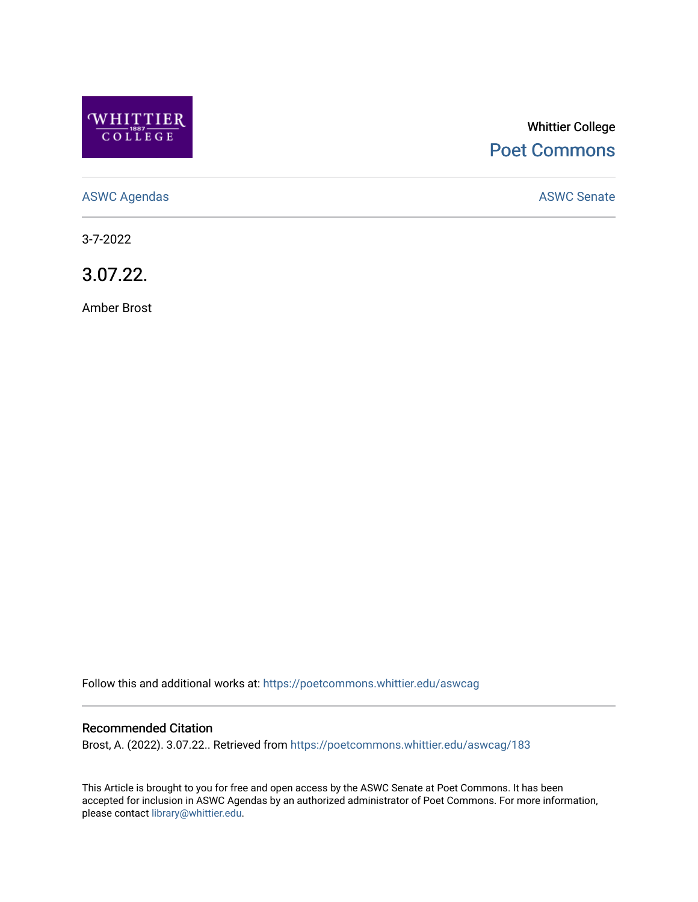

# Whittier College [Poet Commons](https://poetcommons.whittier.edu/)

[ASWC Agendas](https://poetcommons.whittier.edu/aswcag) **ASWC Senate** 

3-7-2022

3.07.22.

Amber Brost

Follow this and additional works at: [https://poetcommons.whittier.edu/aswcag](https://poetcommons.whittier.edu/aswcag?utm_source=poetcommons.whittier.edu%2Faswcag%2F183&utm_medium=PDF&utm_campaign=PDFCoverPages) 

## Recommended Citation

Brost, A. (2022). 3.07.22.. Retrieved from [https://poetcommons.whittier.edu/aswcag/183](https://poetcommons.whittier.edu/aswcag/183?utm_source=poetcommons.whittier.edu%2Faswcag%2F183&utm_medium=PDF&utm_campaign=PDFCoverPages) 

This Article is brought to you for free and open access by the ASWC Senate at Poet Commons. It has been accepted for inclusion in ASWC Agendas by an authorized administrator of Poet Commons. For more information, please contact [library@whittier.edu](mailto:library@whittier.edu).